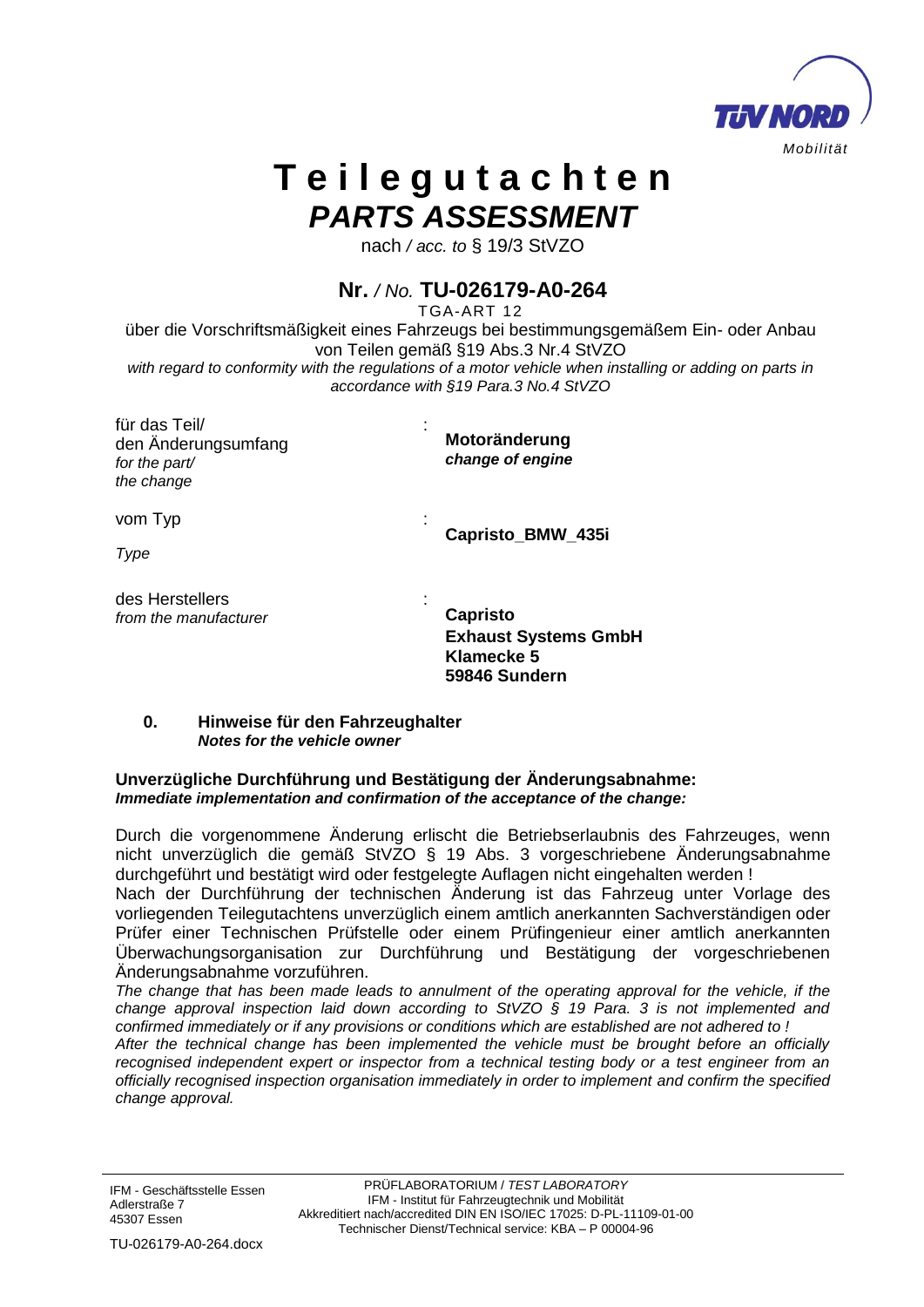

# **T e i l e g u t a c h t e n** *PARTS ASSESSMENT*

nach */ acc. to* § 19/3 StVZO

# **Nr.** */ No.* **TU-026179-A0-264**

TGA-ART 12

über die Vorschriftsmäßigkeit eines Fahrzeugs bei bestimmungsgemäßem Ein- oder Anbau von Teilen gemäß §19 Abs.3 Nr.4 StVZO *with regard to conformity with the regulations of a motor vehicle when installing or adding on parts in accordance with §19 Para.3 No.4 StVZO*

| für das Teil/<br>den Änderungsumfang<br>for the part/<br>the change | Motoränderung<br>change of engine                                   |
|---------------------------------------------------------------------|---------------------------------------------------------------------|
| vom Typ<br>Type                                                     | Capristo_BMW_435i                                                   |
| des Herstellers<br>from the manufacturer                            | <b>Capristo</b><br><b>Exhaust Systems GmbH</b><br><b>Klamecke 5</b> |

#### **0. Hinweise für den Fahrzeughalter**  *Notes for the vehicle owner*

#### **Unverzügliche Durchführung und Bestätigung der Änderungsabnahme:** *Immediate implementation and confirmation of the acceptance of the change:*

Durch die vorgenommene Änderung erlischt die Betriebserlaubnis des Fahrzeuges, wenn nicht unverzüglich die gemäß StVZO § 19 Abs. 3 vorgeschriebene Änderungsabnahme durchgeführt und bestätigt wird oder festgelegte Auflagen nicht eingehalten werden !

**59846 Sundern**

Nach der Durchführung der technischen Änderung ist das Fahrzeug unter Vorlage des vorliegenden Teilegutachtens unverzüglich einem amtlich anerkannten Sachverständigen oder Prüfer einer Technischen Prüfstelle oder einem Prüfingenieur einer amtlich anerkannten Überwachungsorganisation zur Durchführung und Bestätigung der vorgeschriebenen Änderungsabnahme vorzuführen.

The change that has been made leads to annulment of the operating approval for the vehicle, if the *change approval inspection laid down according to StVZO § 19 Para. 3 is not implemented and confirmed immediately or if any provisions or conditions which are established are not adhered to !* 

*After the technical change has been implemented the vehicle must be brought before an officially recognised independent expert or inspector from a technical testing body or a test engineer from an officially recognised inspection organisation immediately in order to implement and confirm the specified change approval.*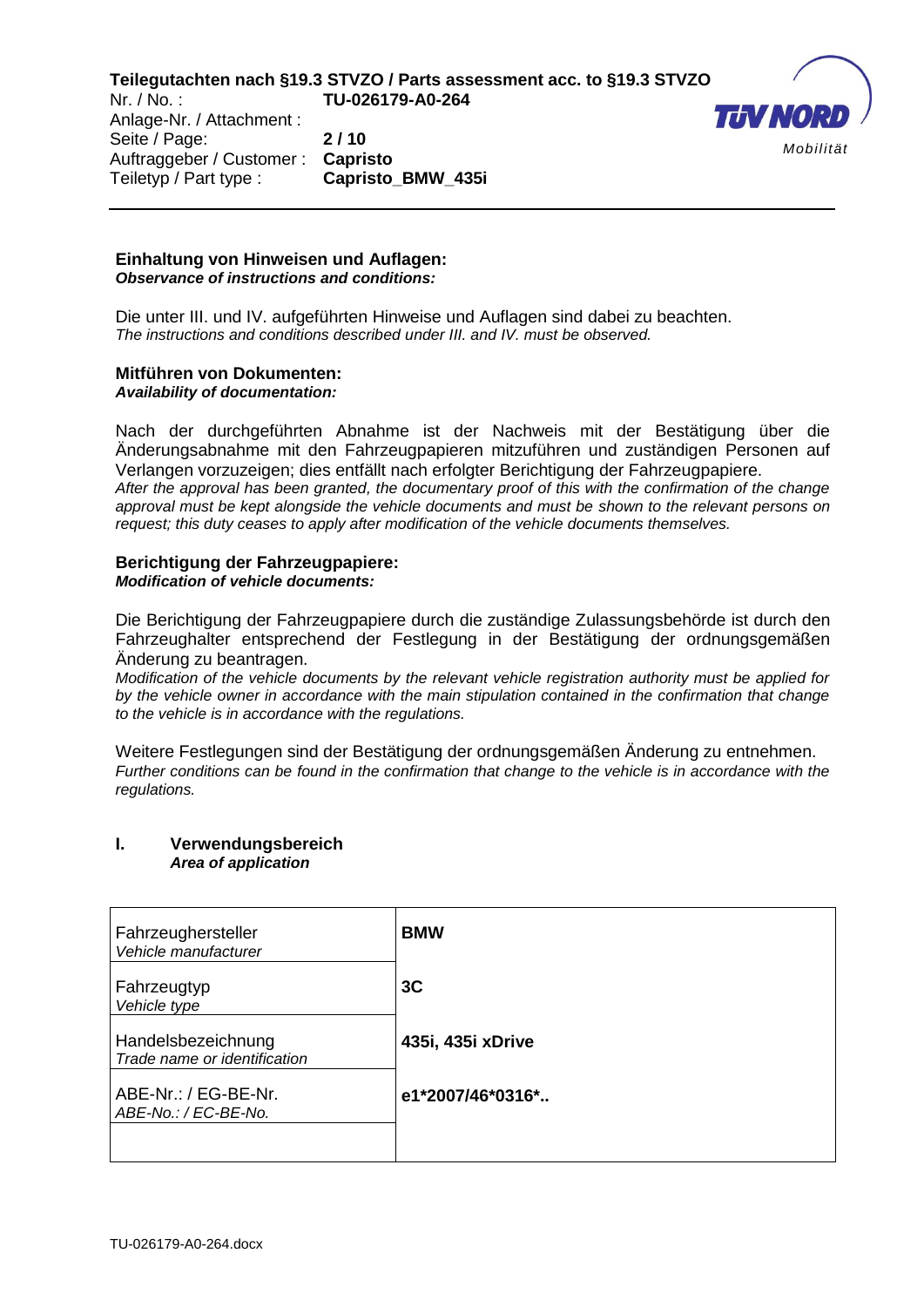Anlage-Nr. / Attachment : Seite / Page: **2 / 10** Auftraggeber / Customer : **Capristo** Teiletyp / Part type : **Capristo\_BMW\_435i**



#### **Einhaltung von Hinweisen und Auflagen:** *Observance of instructions and conditions:*

Die unter III. und IV. aufgeführten Hinweise und Auflagen sind dabei zu beachten. *The instructions and conditions described under III. and IV. must be observed.*

## **Mitführen von Dokumenten:**

*Availability of documentation:*

Nach der durchgeführten Abnahme ist der Nachweis mit der Bestätigung über die Änderungsabnahme mit den Fahrzeugpapieren mitzuführen und zuständigen Personen auf Verlangen vorzuzeigen; dies entfällt nach erfolgter Berichtigung der Fahrzeugpapiere. *After the approval has been granted, the documentary proof of this with the confirmation of the change approval must be kept alongside the vehicle documents and must be shown to the relevant persons on request; this duty ceases to apply after modification of the vehicle documents themselves.* 

# **Berichtigung der Fahrzeugpapiere:**

*Modification of vehicle documents:* 

Die Berichtigung der Fahrzeugpapiere durch die zuständige Zulassungsbehörde ist durch den Fahrzeughalter entsprechend der Festlegung in der Bestätigung der ordnungsgemäßen Änderung zu beantragen.

*Modification of the vehicle documents by the relevant vehicle registration authority must be applied for by the vehicle owner in accordance with the main stipulation contained in the confirmation that change to the vehicle is in accordance with the regulations.* 

Weitere Festlegungen sind der Bestätigung der ordnungsgemäßen Änderung zu entnehmen. *Further conditions can be found in the confirmation that change to the vehicle is in accordance with the regulations.*

#### **I. Verwendungsbereich**  *Area of application*

| Fahrzeughersteller<br>Vehicle manufacturer         | <b>BMW</b>        |
|----------------------------------------------------|-------------------|
| Fahrzeugtyp<br>Vehicle type                        | 3 <sub>C</sub>    |
| Handelsbezeichnung<br>Trade name or identification | 435i, 435i xDrive |
| ABE-Nr.: / EG-BE-Nr.<br>ABE-No.: / EC-BE-No.       | e1*2007/46*0316*  |
|                                                    |                   |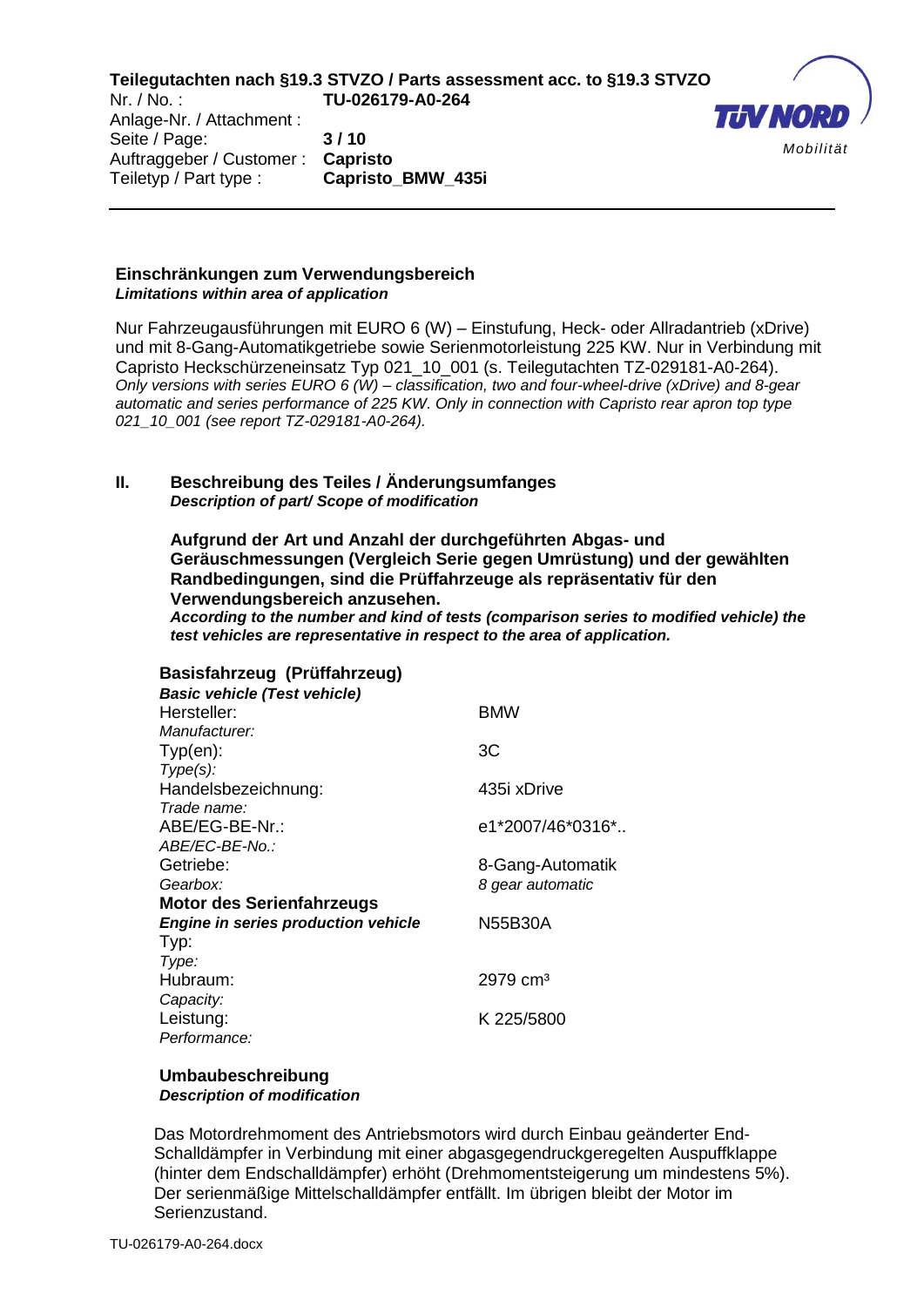Anlage-Nr. / Attachment : Seite / Page: **3 / 10** Auftraggeber / Customer : **Capristo** Teiletyp / Part type : **Capristo\_BMW\_435i**



#### **Einschränkungen zum Verwendungsbereich**  *Limitations within area of application*

Nur Fahrzeugausführungen mit EURO 6 (W) – Einstufung, Heck- oder Allradantrieb (xDrive) und mit 8-Gang-Automatikgetriebe sowie Serienmotorleistung 225 KW. Nur in Verbindung mit Capristo Heckschürzeneinsatz Typ 021\_10\_001 (s. Teilegutachten TZ-029181-A0-264). *Only versions with series EURO 6 (W) – classification, two and four-wheel-drive (xDrive) and 8-gear automatic and series performance of 225 KW. Only in connection with Capristo rear apron top type 021\_10\_001 (see report TZ-029181-A0-264).*

#### **II. Beschreibung des Teiles / Änderungsumfanges** *Description of part/ Scope of modification*

**Aufgrund der Art und Anzahl der durchgeführten Abgas- und Geräuschmessungen (Vergleich Serie gegen Umrüstung) und der gewählten Randbedingungen, sind die Prüffahrzeuge als repräsentativ für den Verwendungsbereich anzusehen.**

*According to the number and kind of tests (comparison series to modified vehicle) the test vehicles are representative in respect to the area of application.* 

| Basisfahrzeug (Prüffahrzeug)               |                       |
|--------------------------------------------|-----------------------|
| <b>Basic vehicle (Test vehicle)</b>        |                       |
| Hersteller:                                | <b>BMW</b>            |
| Manufacturer:                              |                       |
| $Type(en)$ :                               | ЗC                    |
| $Type(s)$ :                                |                       |
| Handelsbezeichnung:                        | 435i xDrive           |
| Trade name:                                |                       |
| ABE/EG-BE-Nr.:                             | e1*2007/46*0316*      |
| ABE/EC-BE-No.:                             |                       |
| Getriebe:                                  | 8-Gang-Automatik      |
| Gearbox:                                   | 8 gear automatic      |
| <b>Motor des Serienfahrzeugs</b>           |                       |
| <b>Engine in series production vehicle</b> | N55B30A               |
| Typ:                                       |                       |
| Type:                                      |                       |
| Hubraum:                                   | $2979 \, \text{cm}^3$ |
| Capacity:                                  |                       |
| Leistung:                                  | K 225/5800            |
| Performance:                               |                       |

#### **Umbaubeschreibung** *Description of modification*

Das Motordrehmoment des Antriebsmotors wird durch Einbau geänderter End-Schalldämpfer in Verbindung mit einer abgasgegendruckgeregelten Auspuffklappe (hinter dem Endschalldämpfer) erhöht (Drehmomentsteigerung um mindestens 5%). Der serienmäßige Mittelschalldämpfer entfällt. Im übrigen bleibt der Motor im Serienzustand.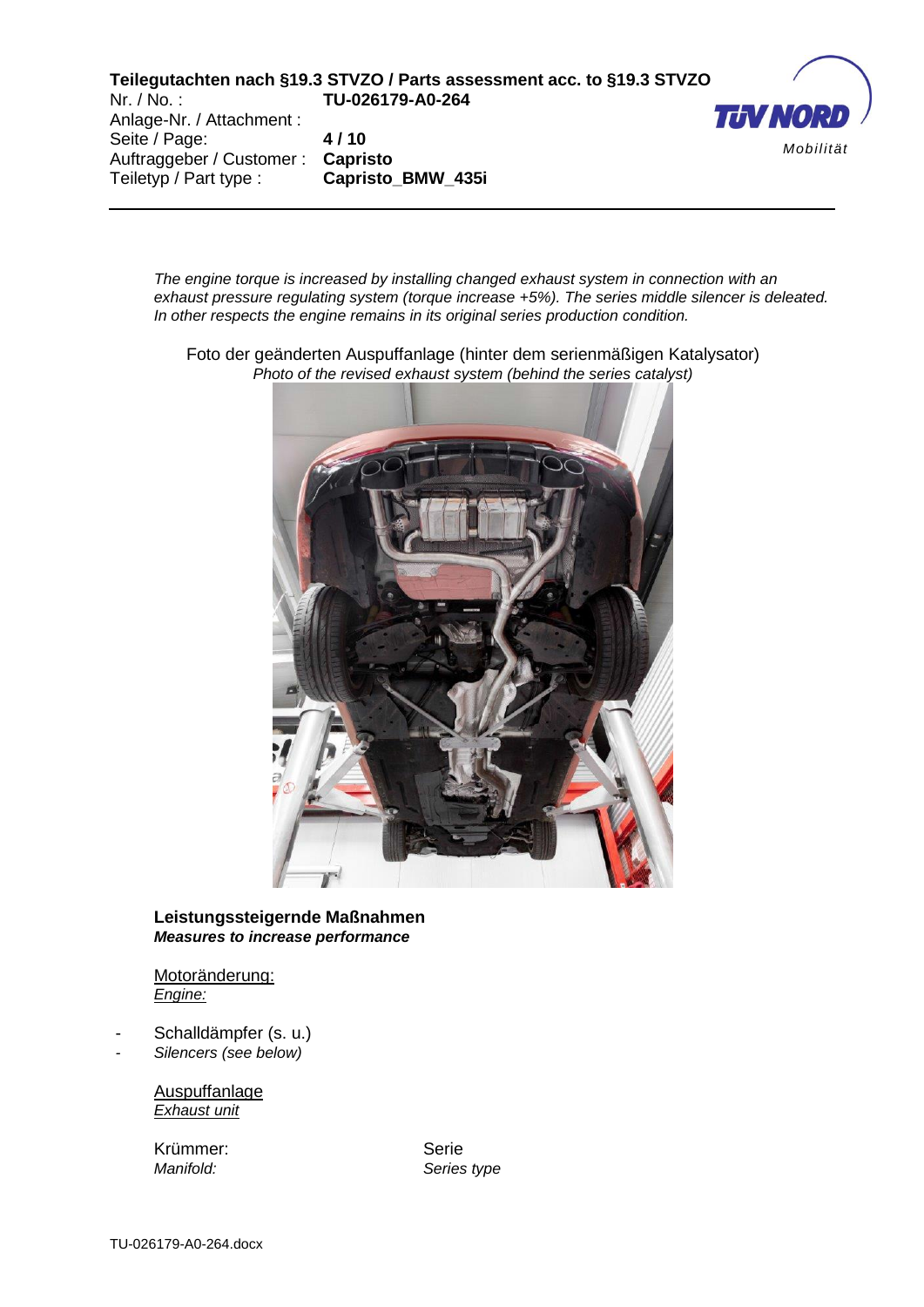Anlage-Nr. / Attachment : Seite / Page: **4 / 10** Auftraggeber / Customer : **Capristo** Teiletyp / Part type : **Capristo\_BMW\_435i**



*The engine torque is increased by installing changed exhaust system in connection with an exhaust pressure regulating system (torque increase +5%). The series middle silencer is deleated. In other respects the engine remains in its original series production condition.* 

Foto der geänderten Auspuffanlage (hinter dem serienmäßigen Katalysator) *Photo of the revised exhaust system (behind the series catalyst)*



#### **Leistungssteigernde Maßnahmen**  *Measures to increase performance*

Motoränderung: *Engine:*

- Schalldämpfer (s. u.)
- *- Silencers (see below)*

Auspuffanlage *Exhaust unit*

Krümmer: Serie

*Manifold: Series type*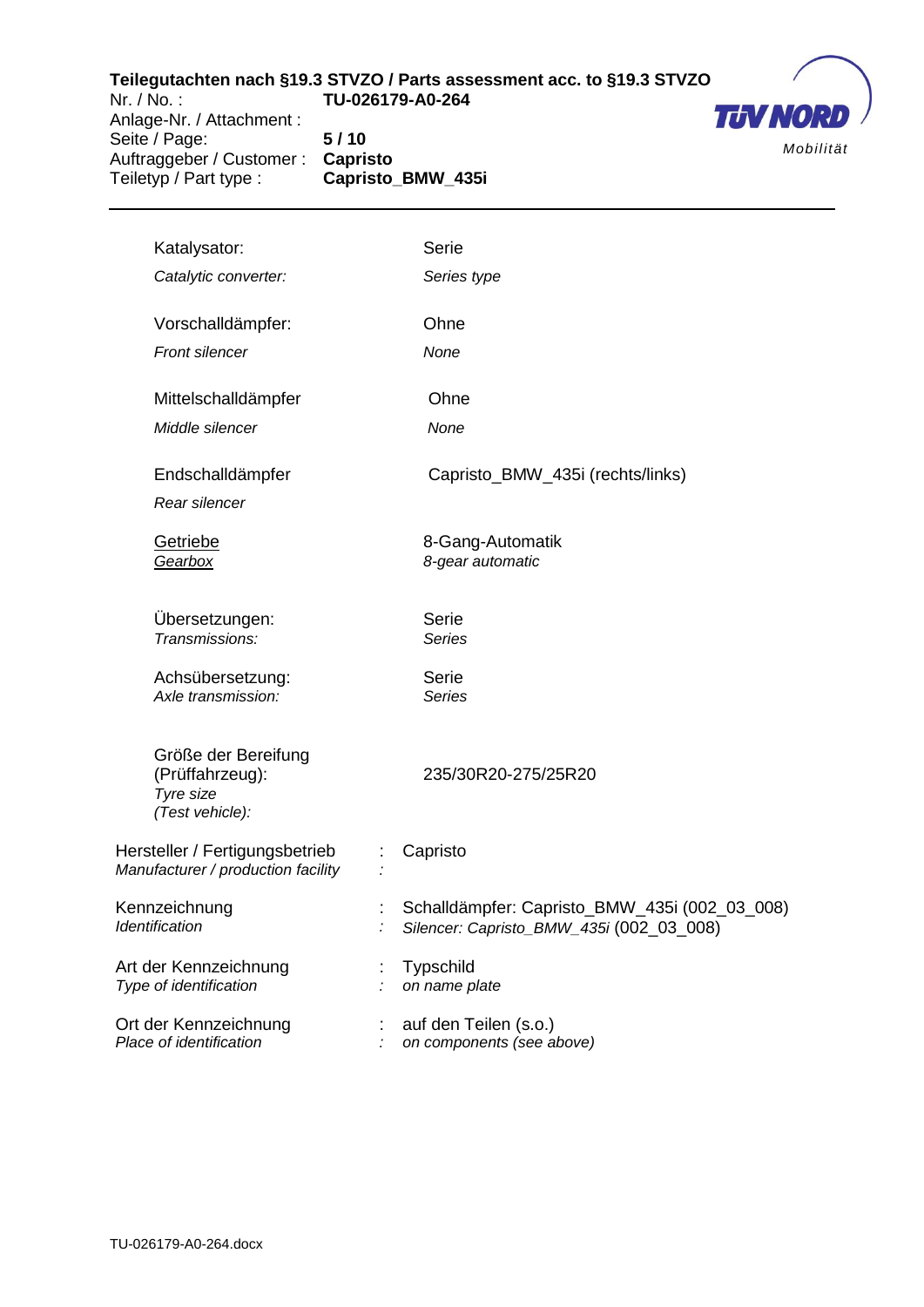Anlage-Nr. / Attachment : Seite / Page: **5 / 10** Auftraggeber / Customer : **Capristo** Teiletyp / Part type : **Capristo\_BMW\_435i**



| Katalysator:                                                           | Serie                                                                                     |
|------------------------------------------------------------------------|-------------------------------------------------------------------------------------------|
| Catalytic converter:                                                   | Series type                                                                               |
| Vorschalldämpfer:                                                      | Ohne                                                                                      |
| Front silencer                                                         | None                                                                                      |
| Mittelschalldämpfer                                                    | Ohne                                                                                      |
| Middle silencer                                                        | None                                                                                      |
| Endschalldämpfer<br>Rear silencer                                      | Capristo_BMW_435i (rechts/links)                                                          |
| Getriebe<br>Gearbox                                                    | 8-Gang-Automatik<br>8-gear automatic                                                      |
| Übersetzungen:<br>Transmissions:                                       | Serie<br><b>Series</b>                                                                    |
| Achsübersetzung:<br>Axle transmission:                                 | Serie<br><b>Series</b>                                                                    |
| Größe der Bereifung<br>(Prüffahrzeug):<br>Tyre size<br>(Test vehicle): | 235/30R20-275/25R20                                                                       |
| Hersteller / Fertigungsbetrieb<br>Manufacturer / production facility   | Capristo                                                                                  |
| Kennzeichnung<br>Identification                                        | Schalldämpfer: Capristo_BMW_435i (002_03_008)<br>Silencer: Capristo_BMW_435i (002_03_008) |
| Art der Kennzeichnung<br>Type of identification                        | <b>Typschild</b><br>on name plate                                                         |
| Ort der Kennzeichnung<br>Place of identification                       | auf den Teilen (s.o.)<br>on components (see above)                                        |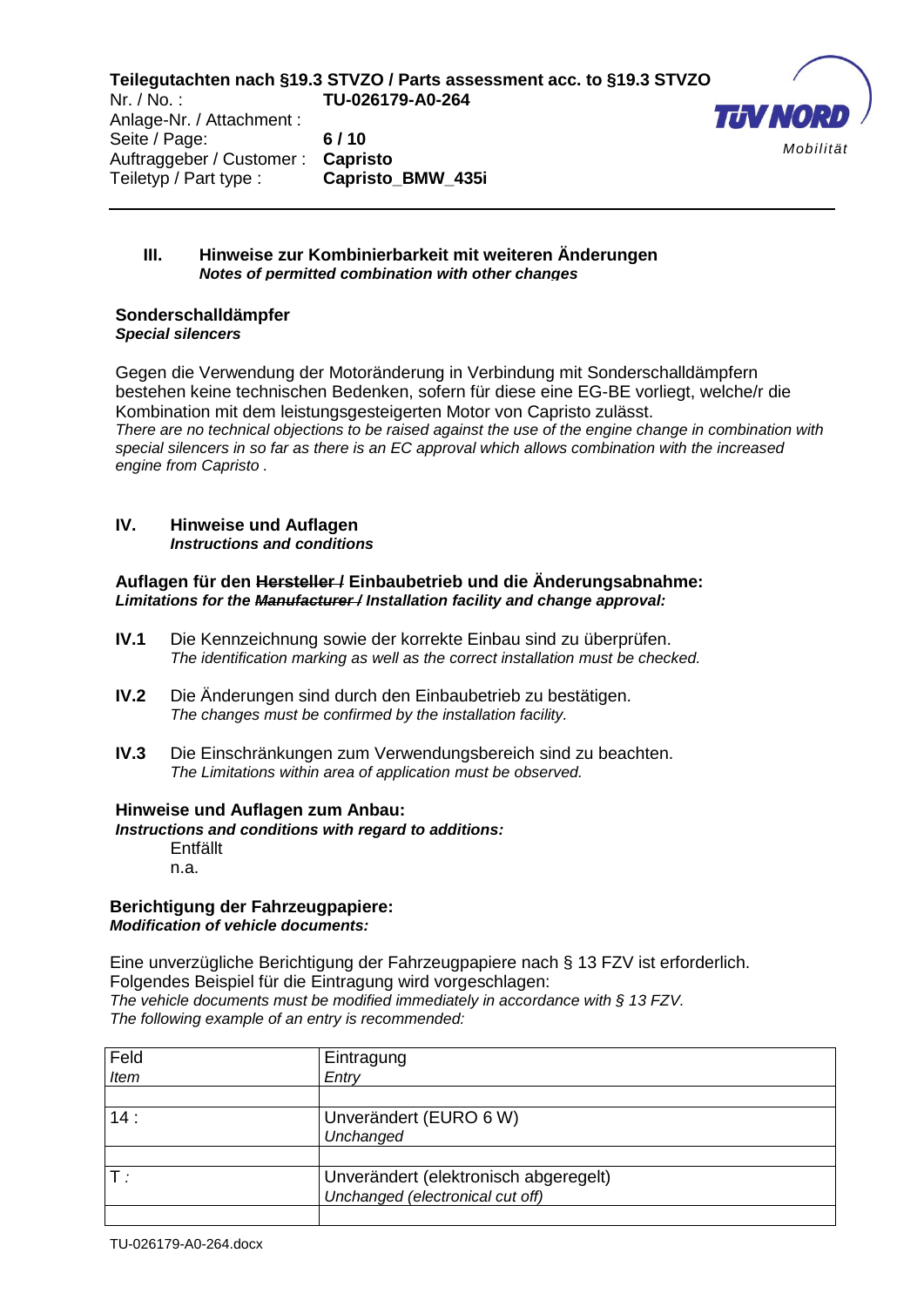Anlage-Nr. / Attachment : Seite / Page: **6 / 10** Auftraggeber / Customer : **Capristo** Teiletyp / Part type : **Capristo\_BMW\_435i**



#### **III. Hinweise zur Kombinierbarkeit mit weiteren Änderungen** *Notes of permitted combination with other changes*

#### **Sonderschalldämpfer**  *Special silencers*

Gegen die Verwendung der Motoränderung in Verbindung mit Sonderschalldämpfern bestehen keine technischen Bedenken, sofern für diese eine EG-BE vorliegt, welche/r die Kombination mit dem leistungsgesteigerten Motor von Capristo zulässt. *There are no technical objections to be raised against the use of the engine change in combination with special silencers in so far as there is an EC approval which allows combination with the increased engine from Capristo .* 

#### **IV. Hinweise und Auflagen**  *Instructions and conditions*

#### **Auflagen für den Hersteller / Einbaubetrieb und die Änderungsabnahme:** *Limitations for the Manufacturer / Installation facility and change approval:*

- **IV.1** Die Kennzeichnung sowie der korrekte Einbau sind zu überprüfen. *The identification marking as well as the correct installation must be checked.*
- **IV.2** Die Änderungen sind durch den Einbaubetrieb zu bestätigen. *The changes must be confirmed by the installation facility.*
- **IV.3** Die Einschränkungen zum Verwendungsbereich sind zu beachten. *The Limitations within area of application must be observed.*

## **Hinweise und Auflagen zum Anbau:**

*Instructions and conditions with regard to additions:*

Entfällt n.a.

#### **Berichtigung der Fahrzeugpapiere:** *Modification of vehicle documents:*

Eine unverzügliche Berichtigung der Fahrzeugpapiere nach § 13 FZV ist erforderlich. Folgendes Beispiel für die Eintragung wird vorgeschlagen: *The vehicle documents must be modified immediately in accordance with § 13 FZV. The following example of an entry is recommended:* 

| Feld | Eintragung                            |
|------|---------------------------------------|
| Item | Entry                                 |
|      |                                       |
| 14:  | Unverändert (EURO 6 W)                |
|      | Unchanged                             |
|      |                                       |
|      | Unverändert (elektronisch abgeregelt) |
|      | Unchanged (electronical cut off)      |
|      |                                       |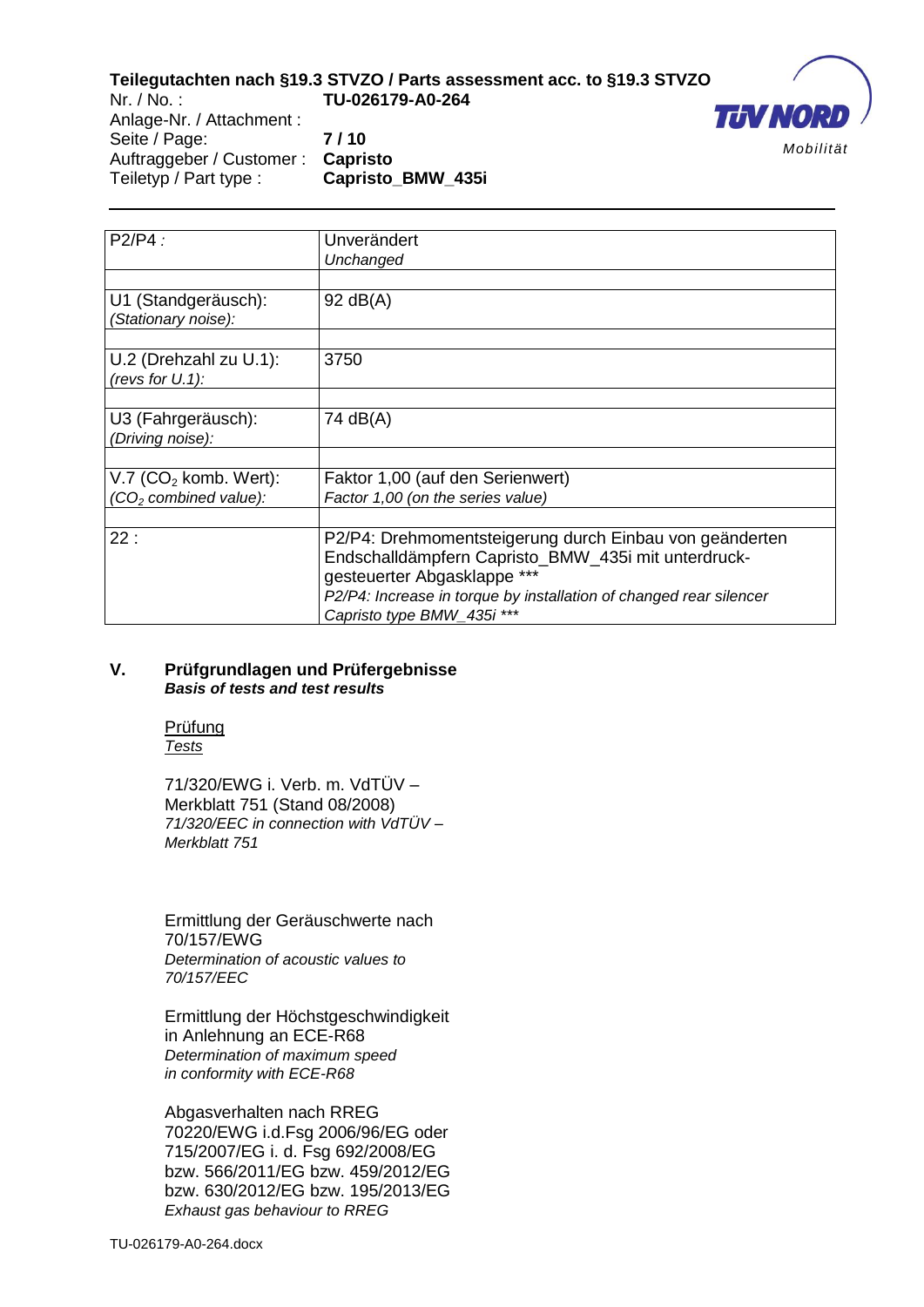

Anlage-Nr. / Attachment : Seite / Page: **7 / 10** Auftraggeber / Customer : **Capristo**

Teiletyp / Part type : **Capristo\_BMW\_435i**

| P2/P4:                                                                   | Unverändert<br>Unchanged                                                                                                                                                                                                                          |
|--------------------------------------------------------------------------|---------------------------------------------------------------------------------------------------------------------------------------------------------------------------------------------------------------------------------------------------|
| U1 (Standgeräusch):<br>(Stationary noise):                               | $92$ dB(A)                                                                                                                                                                                                                                        |
| U.2 (Drehzahl zu U.1):<br>(revs for $U.1$ ):                             | 3750                                                                                                                                                                                                                                              |
| U3 (Fahrgeräusch):<br>(Driving noise):                                   | 74 dB(A)                                                                                                                                                                                                                                          |
| $V.7$ (CO <sub>2</sub> komb. Wert):<br>(CO <sub>2</sub> combined value): | Faktor 1,00 (auf den Serienwert)<br>Factor 1,00 (on the series value)                                                                                                                                                                             |
| 22:                                                                      | P2/P4: Drehmomentsteigerung durch Einbau von geänderten<br>Endschalldämpfern Capristo_BMW_435i mit unterdruck-<br>gesteuerter Abgasklappe ***<br>P2/P4: Increase in torque by installation of changed rear silencer<br>Capristo type BMW_435i *** |

#### **V. Prüfgrundlagen und Prüfergebnisse**  *Basis of tests and test results*

#### Prüfung *Tests*

71/320/EWG i. Verb. m. VdTÜV – Merkblatt 751 (Stand 08/2008) *71/320/EEC in connection with VdTÜV – Merkblatt 751*

Ermittlung der Geräuschwerte nach 70/157/EWG *Determination of acoustic values to 70/157/EEC* 

Ermittlung der Höchstgeschwindigkeit in Anlehnung an ECE-R68 *Determination of maximum speed in conformity with ECE-R68*

Abgasverhalten nach RREG 70220/EWG i.d.Fsg 2006/96/EG oder 715/2007/EG i. d. Fsg 692/2008/EG bzw. 566/2011/EG bzw. 459/2012/EG bzw. 630/2012/EG bzw. 195/2013/EG *Exhaust gas behaviour to RREG*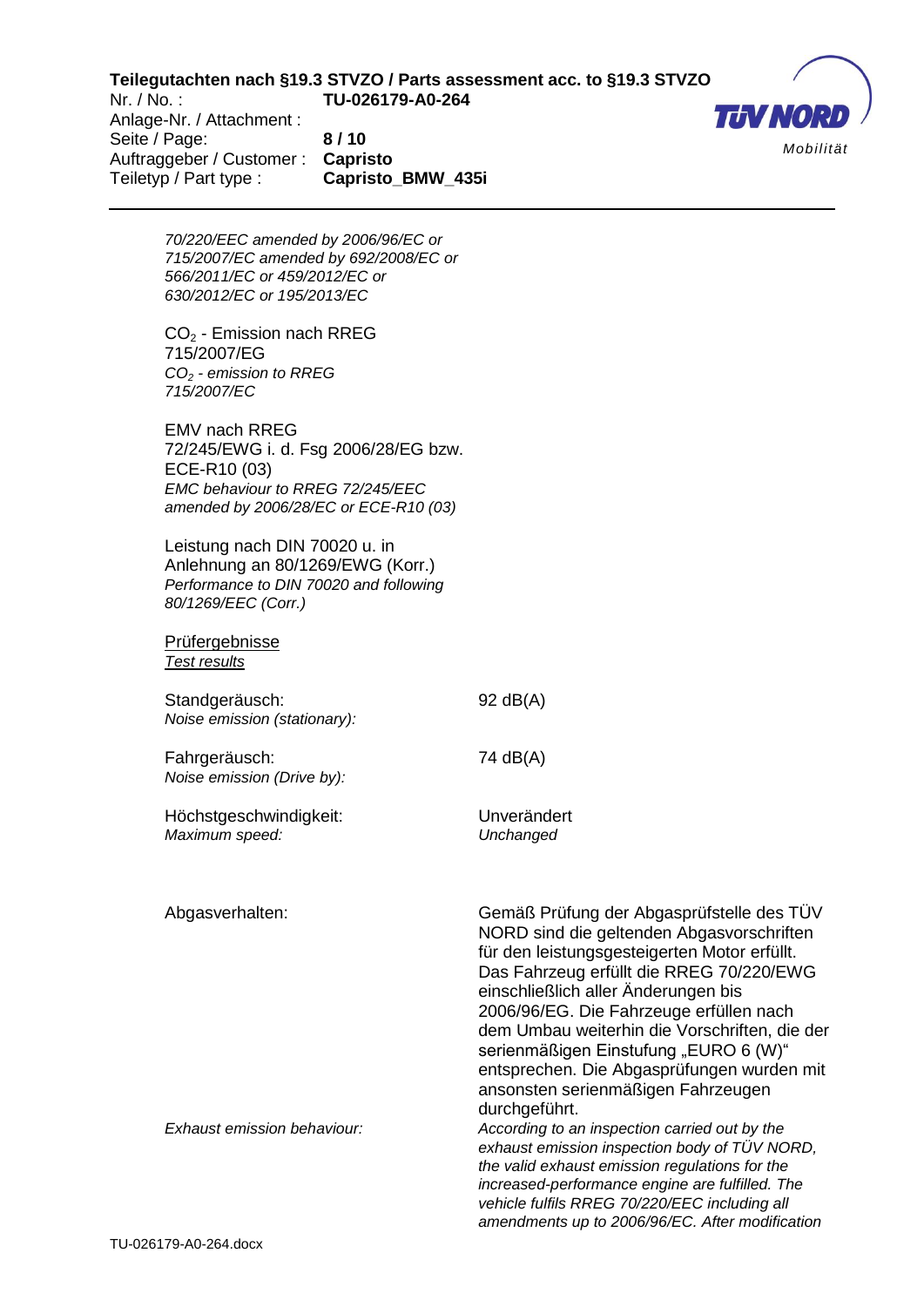**THV NO** *Mobilität*

Anlage-Nr. / Attachment : Seite / Page: **8 / 10** Auftraggeber / Customer : **Capristo** Teiletyp / Part type : **Capristo\_BMW\_435i**

> *70/220/EEC amended by 2006/96/EC or 715/2007/EC amended by 692/2008/EC or 566/2011/EC or 459/2012/EC or 630/2012/EC or 195/2013/EC*

CO<sup>2</sup> - Emission nach RREG 715/2007/EG *CO<sup>2</sup> - emission to RREG 715/2007/EC* 

EMV nach RREG 72/245/EWG i. d. Fsg 2006/28/EG bzw. ECE-R10 (03) *EMC behaviour to RREG 72/245/EEC amended by 2006/28/EC or ECE-R10 (03)*

Leistung nach DIN 70020 u. in Anlehnung an 80/1269/EWG (Korr.) *Performance to DIN 70020 and following 80/1269/EEC (Corr.)*

#### Prüfergebnisse *Test results*

Standgeräusch: 92 dB(A) *Noise emission (stationary):*

Fahrgeräusch: 74 dB(A) *Noise emission (Drive by):*

Höchstgeschwindigkeit: Unverändert *Maximum speed: Unchanged* 

Abgasverhalten: Gemäß Prüfung der Abgasprüfstelle des TÜV NORD sind die geltenden Abgasvorschriften für den leistungsgesteigerten Motor erfüllt. Das Fahrzeug erfüllt die RREG 70/220/EWG einschließlich aller Änderungen bis 2006/96/EG. Die Fahrzeuge erfüllen nach dem Umbau weiterhin die Vorschriften, die der serienmäßigen Einstufung "EURO 6 (W)" entsprechen. Die Abgasprüfungen wurden mit ansonsten serienmäßigen Fahrzeugen durchgeführt. *Exhaust emission behaviour: According to an inspection carried out by the* 

*exhaust emission inspection body of TÜV NORD, the valid exhaust emission regulations for the increased-performance engine are fulfilled. The vehicle fulfils RREG 70/220/EEC including all amendments up to 2006/96/EC. After modification*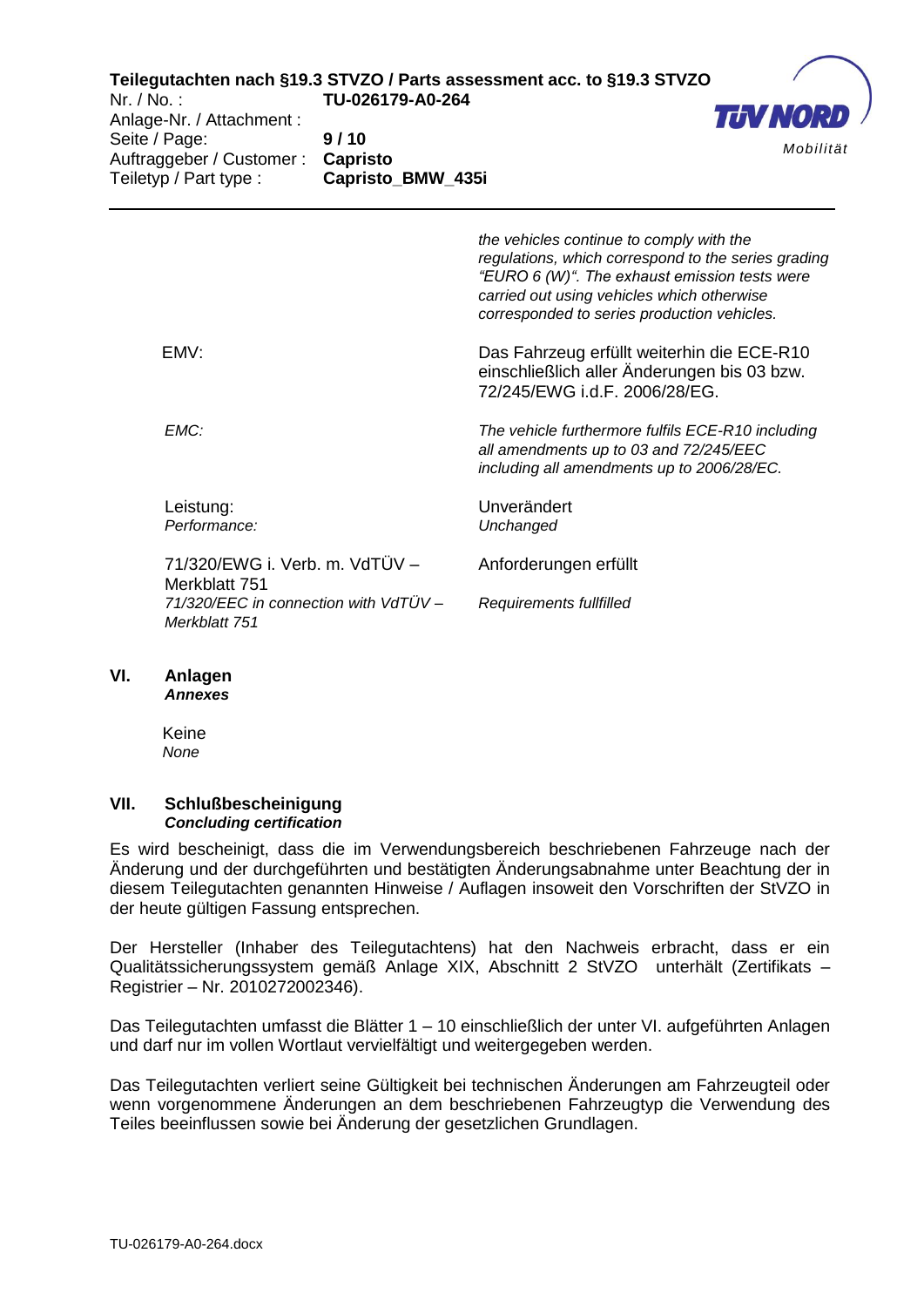

Anlage-Nr. / Attachment : Seite / Page: **9 / 10** Auftraggeber / Customer : **Capristo** Teiletyp / Part type : **Capristo\_BMW\_435i**

> *the vehicles continue to comply with the regulations, which correspond to the series grading "EURO 6 (W)". The exhaust emission tests were carried out using vehicles which otherwise corresponded to series production vehicles.*

EMV: Das Fahrzeug erfüllt weiterhin die ECE-R10 einschließlich aller Änderungen bis 03 bzw. 72/245/EWG i.d.F. 2006/28/EG.

> *all amendments up to 03 and 72/245/EEC including all amendments up to 2006/28/EC.*

*EMC: The vehicle furthermore fulfils ECE-R10 including* 

Leistung: Unverändert *Performance: Unchanged* 

71/320/EWG i. Verb. m. VdTÜV – Merkblatt 751 *71/320/EEC in connection with VdTÜV – Merkblatt 751*

Anforderungen erfüllt *Requirements fullfilled*

## **VI. Anlagen**

*Annexes*

Keine *None*

#### **VII. Schlußbescheinigung**  *Concluding certification*

Es wird bescheinigt, dass die im Verwendungsbereich beschriebenen Fahrzeuge nach der Änderung und der durchgeführten und bestätigten Änderungsabnahme unter Beachtung der in diesem Teilegutachten genannten Hinweise / Auflagen insoweit den Vorschriften der StVZO in der heute gültigen Fassung entsprechen.

Der Hersteller (Inhaber des Teilegutachtens) hat den Nachweis erbracht, dass er ein Qualitätssicherungssystem gemäß Anlage XIX, Abschnitt 2 StVZO unterhält (Zertifikats – Registrier – Nr. 2010272002346).

Das Teilegutachten umfasst die Blätter 1 – 10 einschließlich der unter VI. aufgeführten Anlagen und darf nur im vollen Wortlaut vervielfältigt und weitergegeben werden.

Das Teilegutachten verliert seine Gültigkeit bei technischen Änderungen am Fahrzeugteil oder wenn vorgenommene Änderungen an dem beschriebenen Fahrzeugtyp die Verwendung des Teiles beeinflussen sowie bei Änderung der gesetzlichen Grundlagen.